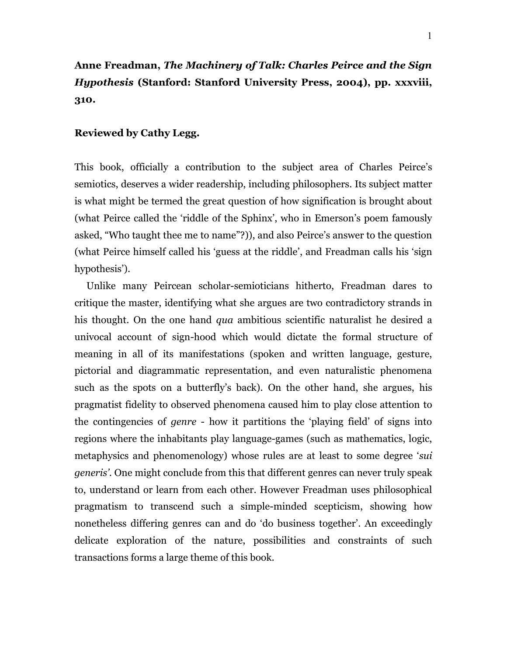## **Reviewed by Cathy Legg.**

**310.**

This book, officially a contribution to the subject area of Charles Peirce"s semiotics, deserves a wider readership, including philosophers. Its subject matter is what might be termed the great question of how signification is brought about (what Peirce called the 'riddle of the Sphinx', who in Emerson's poem famously asked, "Who taught thee me to name"?)), and also Peirce"s answer to the question (what Peirce himself called his "guess at the riddle", and Freadman calls his "sign hypothesis').

 Unlike many Peircean scholar-semioticians hitherto, Freadman dares to critique the master, identifying what she argues are two contradictory strands in his thought. On the one hand *qua* ambitious scientific naturalist he desired a univocal account of sign-hood which would dictate the formal structure of meaning in all of its manifestations (spoken and written language, gesture, pictorial and diagrammatic representation, and even naturalistic phenomena such as the spots on a butterfly"s back). On the other hand, she argues, his pragmatist fidelity to observed phenomena caused him to play close attention to the contingencies of *genre* - how it partitions the "playing field" of signs into regions where the inhabitants play language-games (such as mathematics, logic, metaphysics and phenomenology) whose rules are at least to some degree "*sui generis'*. One might conclude from this that different genres can never truly speak to, understand or learn from each other. However Freadman uses philosophical pragmatism to transcend such a simple-minded scepticism, showing how nonetheless differing genres can and do 'do business together'. An exceedingly delicate exploration of the nature, possibilities and constraints of such transactions forms a large theme of this book.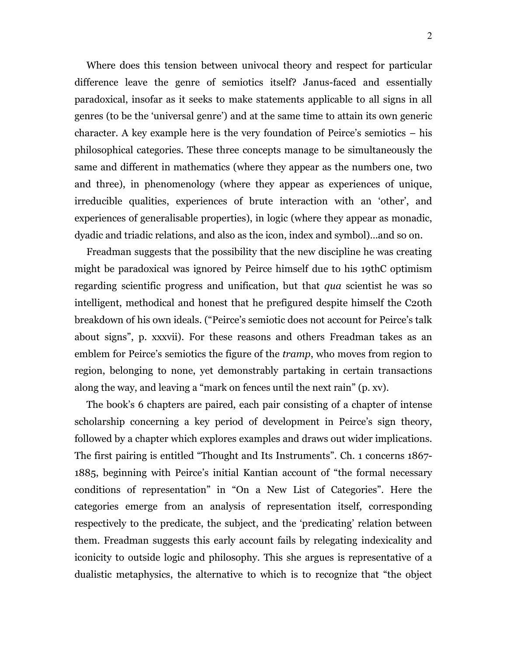Where does this tension between univocal theory and respect for particular difference leave the genre of semiotics itself? Janus-faced and essentially paradoxical, insofar as it seeks to make statements applicable to all signs in all genres (to be the "universal genre") and at the same time to attain its own generic character. A key example here is the very foundation of Peirce"s semiotics – his philosophical categories. These three concepts manage to be simultaneously the same and different in mathematics (where they appear as the numbers one, two and three), in phenomenology (where they appear as experiences of unique, irreducible qualities, experiences of brute interaction with an "other", and experiences of generalisable properties), in logic (where they appear as monadic, dyadic and triadic relations, and also as the icon, index and symbol)…and so on.

 Freadman suggests that the possibility that the new discipline he was creating might be paradoxical was ignored by Peirce himself due to his 19thC optimism regarding scientific progress and unification, but that *qua* scientist he was so intelligent, methodical and honest that he prefigured despite himself the C20th breakdown of his own ideals. ("Peirce"s semiotic does not account for Peirce"s talk about signs", p. xxxvii). For these reasons and others Freadman takes as an emblem for Peirce's semiotics the figure of the *tramp*, who moves from region to region, belonging to none, yet demonstrably partaking in certain transactions along the way, and leaving a "mark on fences until the next rain" (p. xv).

 The book"s 6 chapters are paired, each pair consisting of a chapter of intense scholarship concerning a key period of development in Peirce's sign theory, followed by a chapter which explores examples and draws out wider implications. The first pairing is entitled "Thought and Its Instruments". Ch. 1 concerns 1867- 1885, beginning with Peirce's initial Kantian account of "the formal necessary conditions of representation" in "On a New List of Categories". Here the categories emerge from an analysis of representation itself, corresponding respectively to the predicate, the subject, and the "predicating" relation between them. Freadman suggests this early account fails by relegating indexicality and iconicity to outside logic and philosophy. This she argues is representative of a dualistic metaphysics, the alternative to which is to recognize that "the object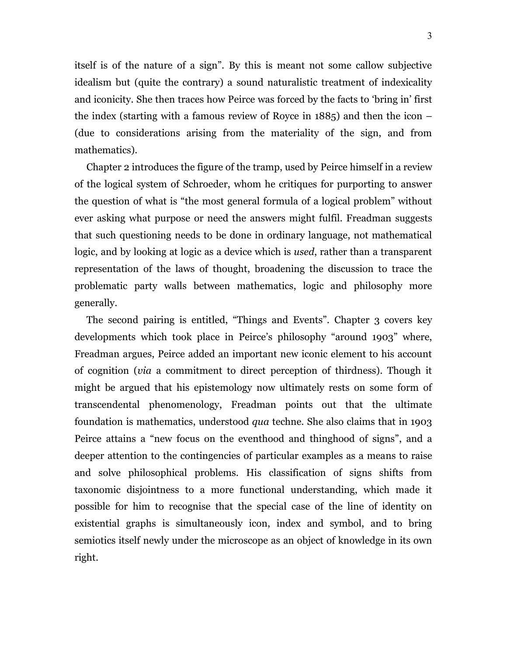itself is of the nature of a sign". By this is meant not some callow subjective idealism but (quite the contrary) a sound naturalistic treatment of indexicality and iconicity. She then traces how Peirce was forced by the facts to "bring in" first the index (starting with a famous review of Royce in 1885) and then the icon – (due to considerations arising from the materiality of the sign, and from mathematics).

 Chapter 2 introduces the figure of the tramp, used by Peirce himself in a review of the logical system of Schroeder, whom he critiques for purporting to answer the question of what is "the most general formula of a logical problem" without ever asking what purpose or need the answers might fulfil. Freadman suggests that such questioning needs to be done in ordinary language, not mathematical logic, and by looking at logic as a device which is *used*, rather than a transparent representation of the laws of thought, broadening the discussion to trace the problematic party walls between mathematics, logic and philosophy more generally.

 The second pairing is entitled, "Things and Events". Chapter 3 covers key developments which took place in Peirce's philosophy "around 1903" where, Freadman argues, Peirce added an important new iconic element to his account of cognition (*via* a commitment to direct perception of thirdness). Though it might be argued that his epistemology now ultimately rests on some form of transcendental phenomenology, Freadman points out that the ultimate foundation is mathematics, understood *qua* techne. She also claims that in 1903 Peirce attains a "new focus on the eventhood and thinghood of signs", and a deeper attention to the contingencies of particular examples as a means to raise and solve philosophical problems. His classification of signs shifts from taxonomic disjointness to a more functional understanding, which made it possible for him to recognise that the special case of the line of identity on existential graphs is simultaneously icon, index and symbol, and to bring semiotics itself newly under the microscope as an object of knowledge in its own right.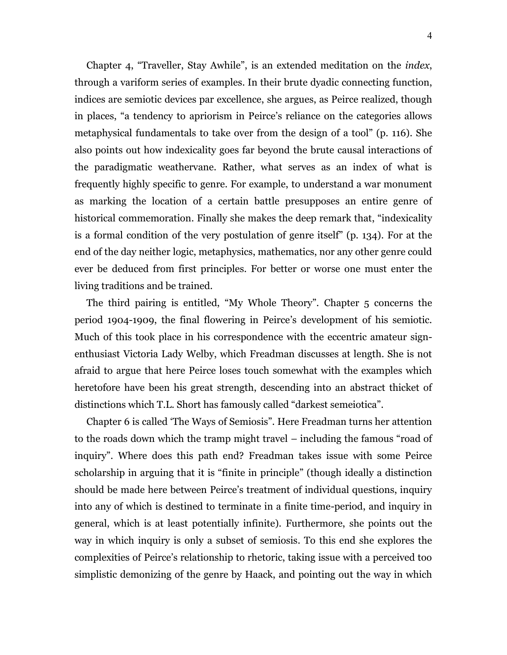Chapter 4, "Traveller, Stay Awhile", is an extended meditation on the *index*, through a variform series of examples. In their brute dyadic connecting function, indices are semiotic devices par excellence, she argues, as Peirce realized, though in places, "a tendency to apriorism in Peirce's reliance on the categories allows metaphysical fundamentals to take over from the design of a tool" (p. 116). She also points out how indexicality goes far beyond the brute causal interactions of the paradigmatic weathervane. Rather, what serves as an index of what is frequently highly specific to genre. For example, to understand a war monument as marking the location of a certain battle presupposes an entire genre of historical commemoration. Finally she makes the deep remark that, "indexicality is a formal condition of the very postulation of genre itself" (p. 134). For at the end of the day neither logic, metaphysics, mathematics, nor any other genre could ever be deduced from first principles. For better or worse one must enter the living traditions and be trained.

 The third pairing is entitled, "My Whole Theory". Chapter 5 concerns the period 1904-1909, the final flowering in Peirce"s development of his semiotic. Much of this took place in his correspondence with the eccentric amateur signenthusiast Victoria Lady Welby, which Freadman discusses at length. She is not afraid to argue that here Peirce loses touch somewhat with the examples which heretofore have been his great strength, descending into an abstract thicket of distinctions which T.L. Short has famously called "darkest semeiotica".

 Chapter 6 is called "The Ways of Semiosis". Here Freadman turns her attention to the roads down which the tramp might travel – including the famous "road of inquiry". Where does this path end? Freadman takes issue with some Peirce scholarship in arguing that it is "finite in principle" (though ideally a distinction should be made here between Peirce"s treatment of individual questions, inquiry into any of which is destined to terminate in a finite time-period, and inquiry in general, which is at least potentially infinite). Furthermore, she points out the way in which inquiry is only a subset of semiosis. To this end she explores the complexities of Peirce"s relationship to rhetoric, taking issue with a perceived too simplistic demonizing of the genre by Haack, and pointing out the way in which